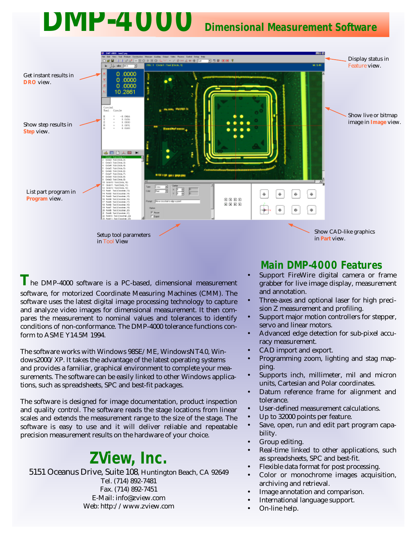# **DMP-4000 Dimensional Measurement Software**



**T**he DMP-4000 software is a PC-based, dimensional measurement software, for motorized Coordinate Measuring Machines (CMM). The software uses the latest digital image processing technology to capture and analyze video images for dimensional measurement. It then compares the measurement to nominal values and tolerances to identify conditions of non-conformance. The DMP-4000 tolerance functions conform to ASME Y14.5M 1994.

The software works with Windows 98SE/ME, WindowsNT4.0, Windows2000/XP. It takes the advantage of the latest operating systems and provides a familiar, graphical environment to complete your measurements. The software can be easily linked to other Windows applications, such as spreadsheets, SPC and best-fit packages.

The software is designed for image documentation, product inspection and quality control. The software reads the stage locations from linear scales and extends the measurement range to the size of the stage. The software is easy to use and it will deliver reliable and repeatable precision measurement results on the hardware of your choice.

## **ZView, Inc.**

5151 Oceanus Drive, Suite 108, Huntington Beach, CA 92649 Tel. (714) 892-7481 Fax. (714) 892-7451 E-Mail: info@zview.com Web: http://www.zview.com

### **Main DMP-4000 Features**

- Support FireWire digital camera or frame grabber for live image display, measurement and annotation.
- Three-axes and optional laser for high precision Z measurement and profiling.
- Support major motion controllers for stepper, servo and linear motors.
- Advanced edge detection for sub-pixel accuracy measurement.
- CAD import and export.
- Programming zoom, lighting and stag mapping.
- Supports inch, millimeter, mil and micron units, Cartesian and Polar coordinates.
- Datum reference frame for alignment and tolerance.
- User-defined measurement calculations.
- Up to 32000 points per feature.
- Save, open, run and edit part program capability.
- Group editing.
- Real-time linked to other applications, such as spreadsheets, SPC and best-fit.
- Flexible data format for post processing.
- Color or monochrome images acquisition, archiving and retrieval.
- Image annotation and comparison.
- International language support.
- On-line help.